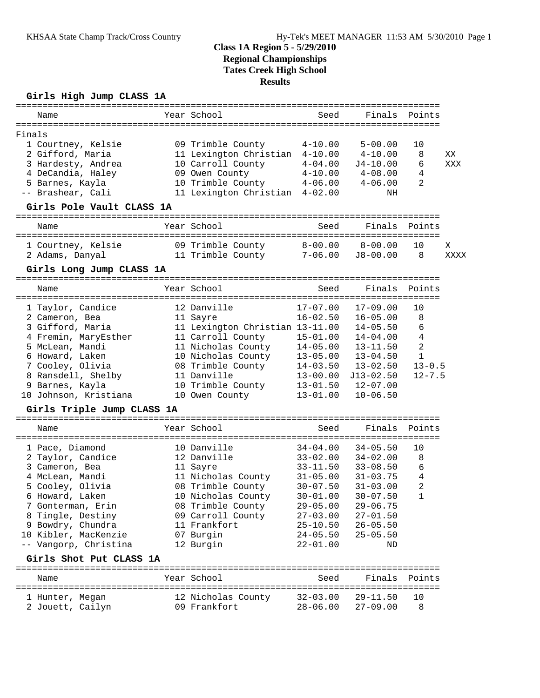### **Class 1A Region 5 - 5/29/2010 Regional Championships Tates Creek High School Results**

#### **Girls High Jump CLASS 1A**

| Name                                                       |  | Year School                                              | Seed                                      |                                        | Finals Points  |      |  |  |  |
|------------------------------------------------------------|--|----------------------------------------------------------|-------------------------------------------|----------------------------------------|----------------|------|--|--|--|
|                                                            |  |                                                          |                                           |                                        |                |      |  |  |  |
| Finals<br>1 Courtney, Kelsie<br>2 Gifford, Maria           |  | 09 Trimble County<br>11 Lexington Christian 4-10.00      | $4 - 10.00$                               | $5 - 00.00$<br>$4 - 10.00$             | 10<br>8        | ΧX   |  |  |  |
| 3 Hardesty, Andrea<br>4 DeCandia, Haley<br>5 Barnes, Kayla |  | 10 Carroll County<br>09 Owen County<br>10 Trimble County | $4 - 04.00$<br>$4 - 10.00$<br>$4 - 06.00$ | $J4 - 10.00$<br>4-08.00<br>$4 - 06.00$ | 6<br>4<br>2    | XXX  |  |  |  |
| -- Brashear, Cali                                          |  | 11 Lexington Christian 4-02.00                           |                                           | ΝH                                     |                |      |  |  |  |
| Girls Pole Vault CLASS 1A                                  |  |                                                          |                                           |                                        |                |      |  |  |  |
| Name                                                       |  | Year School                                              | Seed                                      | Finals                                 | Points         |      |  |  |  |
| 1 Courtney, Kelsie                                         |  | 09 Trimble County                                        | $8-00.00$                                 | $8 - 00.00$                            | 10             | X    |  |  |  |
| 2 Adams, Danyal                                            |  | 11 Trimble County 7-06.00 J8-00.00                       |                                           |                                        | 8              | XXXX |  |  |  |
| Girls Long Jump CLASS 1A                                   |  |                                                          |                                           |                                        |                |      |  |  |  |
| Name                                                       |  | Year School                                              | Seed                                      | Finals                                 | Points         |      |  |  |  |
| 1 Taylor, Candice                                          |  | 12 Danville                                              | $17 - 07.00$                              | $17 - 09.00$                           | 10             |      |  |  |  |
| 2 Cameron, Bea                                             |  | 11 Sayre                                                 | $16 - 02.50$                              | $16 - 05.00$                           | 8              |      |  |  |  |
| 3 Gifford, Maria                                           |  | 11 Lexington Christian 13-11.00                          |                                           | $14 - 05.50$                           | 6              |      |  |  |  |
| 4 Fremin, MaryEsther                                       |  | 11 Carroll County                                        | $15 - 01.00$                              | $14 - 04.00$                           | 4              |      |  |  |  |
| 5 McLean, Mandi                                            |  | 11 Nicholas County 14-05.00                              |                                           | $13 - 11.50$                           | $\overline{c}$ |      |  |  |  |
| 6 Howard, Laken                                            |  | 10 Nicholas County                                       | $13 - 05.00$                              | $13 - 04.50$                           | $\mathbf{1}$   |      |  |  |  |
| 7 Cooley, Olivia                                           |  | 08 Trimble County                                        | $14 - 03.50$                              | $13 - 02.50$                           | $13 - 0.5$     |      |  |  |  |
| 8 Ransdell, Shelby                                         |  | 11 Danville                                              | $13 - 00.00$                              | $J13 - 02.50$                          | $12 - 7.5$     |      |  |  |  |
| 9 Barnes, Kayla                                            |  | 10 Trimble County                                        | $13 - 01.50$                              | $12 - 07.00$                           |                |      |  |  |  |
| 10 Johnson, Kristiana                                      |  | 10 Owen County                                           | $13 - 01.00$                              | $10 - 06.50$                           |                |      |  |  |  |
| Girls Triple Jump CLASS 1A                                 |  |                                                          |                                           |                                        |                |      |  |  |  |
| Name                                                       |  | Year School                                              | Seed                                      | Finals                                 | Points         |      |  |  |  |
| 1 Pace, Diamond                                            |  | 10 Danville                                              | $34 - 04.00$                              | $34 - 05.50$                           | 10             |      |  |  |  |
| 2 Taylor, Candice                                          |  | 12 Danville                                              |                                           | $33 - 02.00$ $34 - 02.00$              | 8              |      |  |  |  |
| 3 Cameron, Bea                                             |  | 11 Sayre                                                 | $33 - 11.50$                              | $33 - 08.50$                           | 6              |      |  |  |  |
| 4 McLean, Mandi                                            |  | 11 Nicholas County                                       | $31 - 05.00$                              | $31 - 03.75$                           | 4              |      |  |  |  |
| 5 Cooley, Olivia                                           |  | 08 Trimble County                                        | $30 - 07.50$                              | $31 - 03.00$                           | $\overline{c}$ |      |  |  |  |
| 6 Howard, Laken                                            |  | 10 Nicholas County                                       | $30 - 01.00$                              | $30 - 07.50$                           | $\mathbf 1$    |      |  |  |  |
| 7 Gonterman, Erin                                          |  | 08 Trimble County                                        | $29 - 05.00$                              | $29 - 06.75$                           |                |      |  |  |  |
| 8 Tingle, Destiny                                          |  | 09 Carroll County                                        | $27 - 03.00$                              | $27 - 01.50$                           |                |      |  |  |  |
| 9 Bowdry, Chundra                                          |  | 11 Frankfort                                             | $25 - 10.50$                              | $26 - 05.50$                           |                |      |  |  |  |
| 10 Kibler, MacKenzie                                       |  | 07 Burgin                                                | $24 - 05.50$                              | $25 - 05.50$                           |                |      |  |  |  |
| -- Vangorp, Christina                                      |  | 12 Burgin                                                | $22 - 01.00$                              | ND                                     |                |      |  |  |  |
| Girls Shot Put CLASS 1A                                    |  |                                                          |                                           |                                        |                |      |  |  |  |
| Name                                                       |  | Year School                                              | Seed                                      | Finals                                 | Points         |      |  |  |  |
| 1 Hunter, Megan<br>2 Jouett, Cailyn                        |  | 12 Nicholas County<br>09 Frankfort                       | $32 - 03.00$<br>$28 - 06.00$              | $29 - 11.50$<br>$27 - 09.00$           | 10<br>8        |      |  |  |  |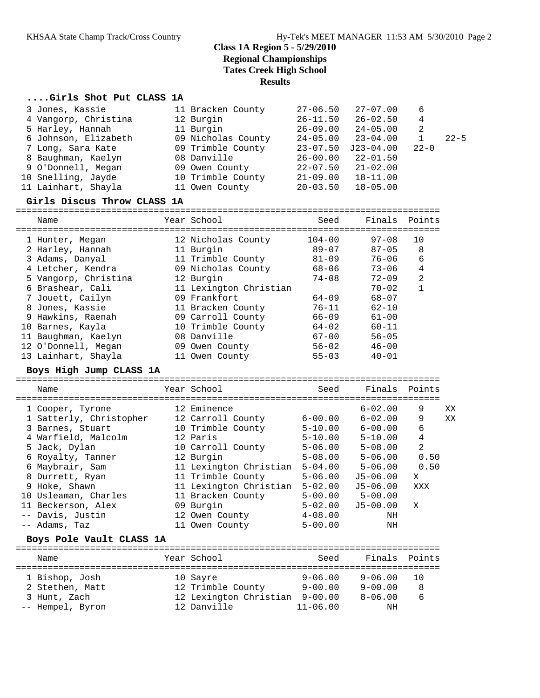# **Class 1A Region 5 - 5/29/2010 Regional Championships Tates Creek High School**

**Results**

## **....Girls Shot Put CLASS 1A**

| 3 Jones, Kassie      | 11 Bracken County  | $27 - 06.50$ | $27 - 07.00$ | 6        |          |
|----------------------|--------------------|--------------|--------------|----------|----------|
| 4 Vangorp, Christina | 12 Burgin          | $26 - 11.50$ | $26 - 02.50$ | 4        |          |
| 5 Harley, Hannah     | 11 Burgin          | $26 - 09.00$ | $24 - 05.00$ | 2        |          |
| 6 Johnson, Elizabeth | 09 Nicholas County | $24 - 05.00$ | $23 - 04.00$ |          | $22 - 5$ |
| 7 Long, Sara Kate    | 09 Trimble County  | $23 - 07.50$ | J23-04.00    | $22 - 0$ |          |
| 8 Baughman, Kaelyn   | 08 Danville        | $26 - 00.00$ | $22 - 01.50$ |          |          |
| 9 O'Donnell, Megan   | 09 Owen County     | $22 - 07.50$ | $21 - 02.00$ |          |          |
| 10 Snelling, Jayde   | 10 Trimble County  | $21 - 09.00$ | $18 - 11.00$ |          |          |
| 11 Lainhart, Shayla  | 11 Owen County     | $20 - 03.50$ | $18 - 05.00$ |          |          |

| Girls Discus Throw CLASS 1A |                        |            |               |    |
|-----------------------------|------------------------|------------|---------------|----|
| Name                        | Year School            | Seed       | Finals Points |    |
| 1 Hunter, Megan             | 12 Nicholas County     | $104 - 00$ | 97-08         | 10 |
| 2 Harley, Hannah            | 11 Burgin              | $89 - 07$  | $87 - 05$     | 8  |
| 3 Adams, Danyal             | 11 Trimble County      | $81 - 09$  | $76 - 06$     | 6  |
| 4 Letcher, Kendra           | 09 Nicholas County     | 68-06      | $73 - 06$     | 4  |
| 5 Vangorp, Christina        | 12 Burgin              | $74 - 08$  | $72 - 09$     | 2  |
| 6 Brashear, Cali            | 11 Lexington Christian |            | $70 - 02$     |    |
| 7 Jouett, Cailyn            | 09 Frankfort           | $64 - 09$  | $68 - 07$     |    |
| 8 Jones, Kassie             | 11 Bracken County      | $76 - 11$  | $62 - 10$     |    |
| 9 Hawkins, Raenah           | 09 Carroll County      | $66 - 09$  | $61 - 00$     |    |
| 10 Barnes, Kayla            | 10 Trimble County      | $64 - 02$  | $60 - 11$     |    |
| 11 Baughman, Kaelyn         | 08 Danville            | $67 - 00$  | $56 - 05$     |    |
| 12 O'Donnell, Megan         | 09 Owen County         | $56 - 02$  | $46 - 00$     |    |
| 13 Lainhart, Shayla         | 11 Owen County         | $55 - 03$  | $40 - 01$     |    |

### **Boys High Jump CLASS 1A**

| Name                    | Year School            | Seed        | Finals Points |      |    |
|-------------------------|------------------------|-------------|---------------|------|----|
|                         |                        |             |               |      |    |
| 1 Cooper, Tyrone        | 12 Eminence            |             | $6 - 02.00$   | 9    | XX |
| 1 Satterly, Christopher | 12 Carroll County      | $6 - 00.00$ | $6 - 02.00$   | 9    | XX |
| 3 Barnes, Stuart        | 10 Trimble County      | $5 - 10.00$ | $6 - 00.00$   | 6    |    |
| 4 Warfield, Malcolm     | 12 Paris               | $5 - 10.00$ | $5 - 10.00$   | 4    |    |
| 5 Jack, Dylan           | 10 Carroll County      | $5 - 06.00$ | $5 - 08.00$   | 2    |    |
| 6 Royalty, Tanner       | 12 Burgin              | $5 - 08.00$ | $5 - 06.00$   | 0.50 |    |
| 6 Maybrair, Sam         | 11 Lexington Christian | $5 - 04.00$ | $5 - 06.00$   | 0.50 |    |
| 8 Durrett, Ryan         | 11 Trimble County      | $5 - 06.00$ | $J5 - 06.00$  | X    |    |
| 9 Hoke, Shawn           | 11 Lexington Christian | $5 - 02.00$ | $J5 - 06.00$  | XXX  |    |
| 10 Usleaman, Charles    | 11 Bracken County      | $5 - 00.00$ | $5 - 00.00$   |      |    |
| 11 Beckerson, Alex      | 09 Burgin              | $5 - 02.00$ | $J5 - 00.00$  | X    |    |
| -- Davis, Justin        | 12 Owen County         | $4 - 08.00$ | ΝH            |      |    |
| -- Adams, Taz           | 11 Owen County         | $5 - 00.00$ | ΝH            |      |    |
|                         |                        |             |               |      |    |

#### **Boys Pole Vault CLASS 1A**

| Name             |  | Year School            | Seed         | Finals Points |     |  |  |  |
|------------------|--|------------------------|--------------|---------------|-----|--|--|--|
| 1 Bishop, Josh   |  | 10 Sayre               | $9 - 06.00$  | $9 - 06.00$   | 1 O |  |  |  |
| 2 Stethen, Matt  |  | 12 Trimble County      | $9 - 00.00$  | $9 - 00.00$   | 8   |  |  |  |
| 3 Hunt, Zach     |  | 12 Lexington Christian | $9 - 00.00$  | $8 - 06.00$   | 6   |  |  |  |
| -- Hempel, Byron |  | 12 Danville            | $11 - 06.00$ | ΝH            |     |  |  |  |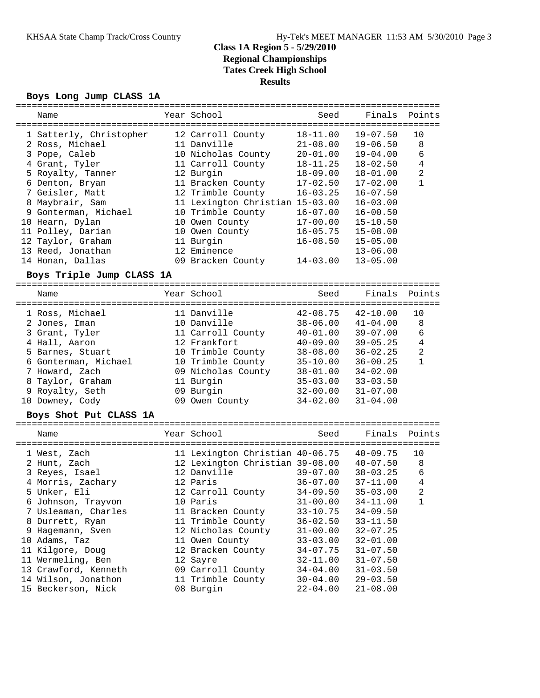# **Class 1A Region 5 - 5/29/2010 Regional Championships Tates Creek High School Results**

### **Boys Long Jump CLASS 1A**

| Name                                                  |           | Year School                                                       | Seed           | Finals                       | Points         |
|-------------------------------------------------------|-----------|-------------------------------------------------------------------|----------------|------------------------------|----------------|
|                                                       |           |                                                                   | $18 - 11.00$   | $19 - 07.50$                 |                |
| 1 Satterly, Christopher                               |           | 12 Carroll County                                                 |                |                              | 10             |
| 2 Ross, Michael                                       |           | 11 Danville                                                       | $21 - 08.00$   | $19 - 06.50$                 | 8              |
| 3 Pope, Caleb                                         |           | 10 Nicholas County                                                | $20 - 01.00$   | $19 - 04.00$                 | 6              |
| 4 Grant, Tyler                                        |           | 11 Carroll County                                                 | $18 - 11.25$   | $18 - 02.50$                 | $\overline{4}$ |
| 5 Royalty, Tanner                                     |           | 12 Burgin                                                         | $18 - 09.00$   | $18 - 01.00$                 | $\overline{a}$ |
| 6 Denton, Bryan                                       |           | 11 Bracken County                                                 | $17 - 02.50$   | $17 - 02.00$                 | $\mathbf{1}$   |
| 7 Geisler, Matt                                       |           | 12 Trimble County                                                 | $16 - 03.25$   | $16 - 07.50$                 |                |
| 8 Maybrair, Sam                                       |           | 11 Lexington Christian 15-03.00                                   |                | $16 - 03.00$                 |                |
| 9 Gonterman, Michael                                  |           | 10 Trimble County                                                 | $16 - 07.00$   | $16 - 00.50$                 |                |
| 10 Hearn, Dylan                                       |           | 10 Owen County                                                    | $17 - 00.00$   | $15 - 10.50$                 |                |
| 11 Polley, Darian                                     |           | 10 Owen County                                                    | $16 - 05.75$   | $15 - 08.00$                 |                |
| 12 Taylor, Graham                                     |           | 11 Burgin                                                         | $16 - 08.50$   | $15 - 05.00$                 |                |
| 13 Reed, Jonathan                                     |           | 12 Eminence                                                       |                | $13 - 06.00$                 |                |
| 14 Honan, Dallas                                      |           | 09 Bracken County                                                 | $14 - 03.00$   | $13 - 05.00$                 |                |
| Boys Triple Jump CLASS 1A                             |           |                                                                   |                |                              |                |
|                                                       |           | -------------------------------------                             |                |                              |                |
| Name                                                  |           | Year School                                                       | Seed           | Finals                       | Points         |
|                                                       | --------- |                                                                   | ============== |                              |                |
| 1 Ross, Michael                                       |           | 11 Danville                                                       | $42 - 08.75$   | $42 - 10.00$                 | 10             |
| 2 Jones, Iman                                         |           | 10 Danville                                                       | $38 - 06.00$   | $41 - 04.00$                 | 8              |
| 3 Grant, Tyler                                        |           | 11 Carroll County                                                 | $40 - 01.00$   | $39 - 07.00$                 | 6              |
| 4 Hall, Aaron                                         |           | 12 Frankfort                                                      | $40 - 09.00$   | $39 - 05.25$                 | $\overline{4}$ |
| 5 Barnes, Stuart                                      |           | 10 Trimble County                                                 | $38 - 08.00$   | $36 - 02.25$                 | $\overline{2}$ |
| 6 Gonterman, Michael                                  |           | 10 Trimble County                                                 | $35 - 10.00$   | $36 - 00.25$                 | $\mathbf{1}$   |
| 7 Howard, Zach                                        |           | 09 Nicholas County                                                | $38 - 01.00$   | $34 - 02.00$                 |                |
| 8 Taylor, Graham                                      |           | 11 Burgin                                                         | $35 - 03.00$   | $33 - 03.50$                 |                |
| 9 Royalty, Seth                                       |           | 09 Burgin                                                         | $32 - 00.00$   | $31 - 07.00$                 |                |
| 10 Downey, Cody                                       |           | 09 Owen County                                                    | $34 - 02.00$   | $31 - 04.00$                 |                |
|                                                       |           |                                                                   |                |                              |                |
| Boys Shot Put CLASS 1A                                |           |                                                                   |                |                              |                |
| Name                                                  |           | Year School                                                       | Seed           | Finals                       | Points         |
| =====================================<br>1 West, Zach |           | ------------------------------<br>11 Lexington Christian 40-06.75 |                | $40 - 09.75$                 | 10             |
| 2 Hunt, Zach                                          |           | 12 Lexington Christian 39-08.00                                   |                | $40 - 07.50$                 | 8              |
| 3 Reyes, Isael                                        |           | 12 Danville                                                       | $39 - 07.00$   | $38 - 03.25$                 | $6\,$          |
| 4 Morris, Zachary                                     |           | 12 Paris                                                          | $36 - 07.00$   | $37 - 11.00$                 | $\overline{4}$ |
| 5 Unker, Eli                                          |           | 12 Carroll County                                                 | $34 - 09.50$   | $35 - 03.00$                 | $\overline{2}$ |
| 6 Johnson, Trayvon                                    |           | 10 Paris                                                          | $31 - 00.00$   | $34 - 11.00$                 | 1              |
| 7 Usleaman, Charles                                   |           | 11 Bracken County                                                 | $33 - 10.75$   | $34 - 09.50$                 |                |
|                                                       |           | 11 Trimble County                                                 | $36 - 02.50$   |                              |                |
| 8 Durrett, Ryan                                       |           | 12 Nicholas County                                                |                | $33 - 11.50$<br>$32 - 07.25$ |                |
| 9 Hagemann, Sven                                      |           |                                                                   | $31 - 00.00$   |                              |                |
| 10 Adams, Taz                                         |           | 11 Owen County                                                    | $33 - 03.00$   | $32 - 01.00$                 |                |
| 11 Kilgore, Doug                                      |           | 12 Bracken County                                                 | $34 - 07.75$   | $31 - 07.50$                 |                |
| 11 Wermeling, Ben                                     |           | 12 Sayre                                                          | $32 - 11.00$   | $31 - 07.50$                 |                |
| 13 Crawford, Kenneth                                  |           | 09 Carroll County                                                 | $34 - 04.00$   | $31 - 03.50$                 |                |
| 14 Wilson, Jonathon                                   |           | 11 Trimble County                                                 | $30 - 04.00$   | $29 - 03.50$                 |                |
| 15 Beckerson, Nick                                    |           | 08 Burgin                                                         | 22-04.00       | $21 - 08.00$                 |                |